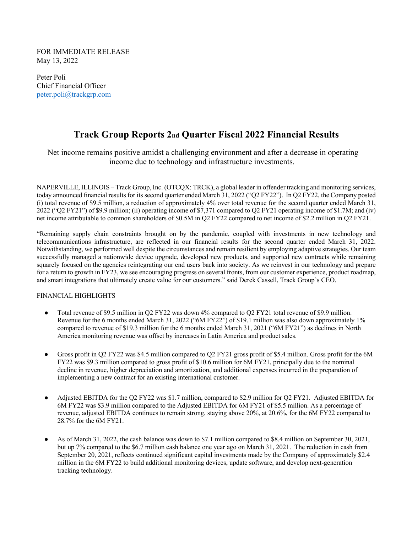FOR IMMEDIATE RELEASE May 13, 2022

Peter Poli Chief Financial Officer peter.poli@trackgrp.com

# **Track Group Reports 2nd Quarter Fiscal 2022 Financial Results**

# Net income remains positive amidst a challenging environment and after a decrease in operating income due to technology and infrastructure investments.

NAPERVILLE, ILLINOIS – Track Group, Inc. (OTCQX: TRCK), a global leader in offender tracking and monitoring services, today announced financial results for its second quarter ended March 31, 2022 ("Q2 FY22"). In Q2 FY22, the Company posted (i) total revenue of \$9.5 million, a reduction of approximately 4% over total revenue for the second quarter ended March 31, 2022 ("Q2 FY21") of \$9.9 million; (ii) operating income of \$7,371 compared to Q2 FY21 operating income of \$1.7M; and (iv) net income attributable to common shareholders of \$0.5M in Q2 FY22 compared to net income of \$2.2 million in Q2 FY21.

"Remaining supply chain constraints brought on by the pandemic, coupled with investments in new technology and telecommunications infrastructure, are reflected in our financial results for the second quarter ended March 31, 2022. Notwithstanding, we performed well despite the circumstances and remain resilient by employing adaptive strategies. Our team successfully managed a nationwide device upgrade, developed new products, and supported new contracts while remaining squarely focused on the agencies reintegrating our end users back into society. As we reinvest in our technology and prepare for a return to growth in FY23, we see encouraging progress on several fronts, from our customer experience, product roadmap, and smart integrations that ultimately create value for our customers." said Derek Cassell, Track Group's CEO.

## FINANCIAL HIGHLIGHTS

- Total revenue of \$9.5 million in Q2 FY22 was down 4% compared to Q2 FY21 total revenue of \$9.9 million. Revenue for the 6 months ended March 31, 2022 ("6M FY22") of \$19.1 million was also down approximately 1% compared to revenue of \$19.3 million for the 6 months ended March 31, 2021 ("6M FY21") as declines in North America monitoring revenue was offset by increases in Latin America and product sales.
- Gross profit in Q2 FY22 was \$4.5 million compared to Q2 FY21 gross profit of \$5.4 million. Gross profit for the 6M FY22 was \$9.3 million compared to gross profit of \$10.6 million for 6M FY21, principally due to the nominal decline in revenue, higher depreciation and amortization, and additional expenses incurred in the preparation of implementing a new contract for an existing international customer.
- Adjusted EBITDA for the O2 FY22 was \$1.7 million, compared to \$2.9 million for O2 FY21. Adjusted EBITDA for 6M FY22 was \$3.9 million compared to the Adjusted EBITDA for 6M FY21 of \$5.5 million. As a percentage of revenue, adjusted EBITDA continues to remain strong, staying above 20%, at 20.6%, for the 6M FY22 compared to 28.7% for the 6M FY21.
- As of March 31, 2022, the cash balance was down to \$7.1 million compared to \$8.4 million on September 30, 2021, but up 7% compared to the \$6.7 million cash balance one year ago on March 31, 2021. The reduction in cash from September 20, 2021, reflects continued significant capital investments made by the Company of approximately \$2.4 million in the 6M FY22 to build additional monitoring devices, update software, and develop next-generation tracking technology.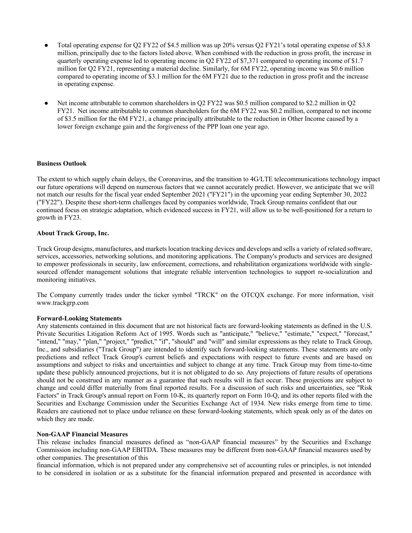- Total operating expense for Q2 FY22 of \$4.5 million was up 20% versus Q2 FY21's total operating expense of \$3.8 million, principally due to the factors listed above. When combined with the reduction in gross profit, the increase in quarterly operating expense led to operating income in Q2 FY22 of \$7,371 compared to operating income of \$1.7 million for Q2 FY21, representing a material decline. Similarly, for 6M FY22, operating income was \$0.6 million compared to operating income of \$3.1 million for the 6M FY21 due to the reduction in gross profit and the increase in operating expense.
- Net income attributable to common shareholders in Q2 FY22 was \$0.5 million compared to \$2.2 million in Q2 FY21. Net income attributable to common shareholders for the 6M FY22 was \$0.2 million, compared to net income of \$3.5 million for the 6M FY21, a change principally attributable to the reduction in Other Income caused by a lower foreign exchange gain and the forgiveness of the PPP loan one year ago.

#### **Business Outlook**

The extent to which supply chain delays, the Coronavirus, and the transition to 4G/LTE telecommunications technology impact our future operations will depend on numerous factors that we cannot accurately predict. However, we anticipate that we will not match our results for the fiscal year ended September 2021 ("FY21") in the upcoming year ending September 30, 2022 ("FY22"). Despite these short-term challenges faced by companies worldwide, Track Group remains confident that our continued focus on strategic adaptation, which evidenced success in FY21, will allow us to be well-positioned for a return to growth in FY23.

#### **About Track Group, Inc.**

Track Group designs, manufactures, and markets location tracking devices and develops and sells a variety of related software, services, accessories, networking solutions, and monitoring applications. The Company's products and services are designed to empower professionals in security, law enforcement, corrections, and rehabilitation organizations worldwide with singlesourced offender management solutions that integrate reliable intervention technologies to support re-socialization and monitoring initiatives.

The Company currently trades under the ticker symbol "TRCK" on the OTCQX exchange. For more information, visit www.trackgrp.com

#### **Forward-Looking Statements**

Any statements contained in this document that are not historical facts are forward-looking statements as defined in the U.S. Private Securities Litigation Reform Act of 1995. Words such as "anticipate," "believe," "estimate," "expect," "forecast," "intend," "may," "plan," "project," "predict," "if", "should" and "will" and similar expressions as they relate to Track Group, Inc., and subsidiaries ("Track Group") are intended to identify such forward-looking statements. These statements are only predictions and reflect Track Group's current beliefs and expectations with respect to future events and are based on assumptions and subject to risks and uncertainties and subject to change at any time. Track Group may from time-to-time update these publicly announced projections, but it is not obligated to do so. Any projections of future results of operations should not be construed in any manner as a guarantee that such results will in fact occur. These projections are subject to change and could differ materially from final reported results. For a discussion of such risks and uncertainties, see "Risk Factors" in Track Group's annual report on Form 10-K, its quarterly report on Form 10-Q, and its other reports filed with the Securities and Exchange Commission under the Securities Exchange Act of 1934. New risks emerge from time to time. Readers are cautioned not to place undue reliance on these forward-looking statements, which speak only as of the dates on which they are made.

# **Non-GAAP Financial Measures**

This release includes financial measures defined as "non-GAAP financial measures" by the Securities and Exchange Commission including non-GAAP EBITDA. These measures may be different from non-GAAP financial measures used by other companies. The presentation of this

financial information, which is not prepared under any comprehensive set of accounting rules or principles, is not intended to be considered in isolation or as a substitute for the financial information prepared and presented in accordance with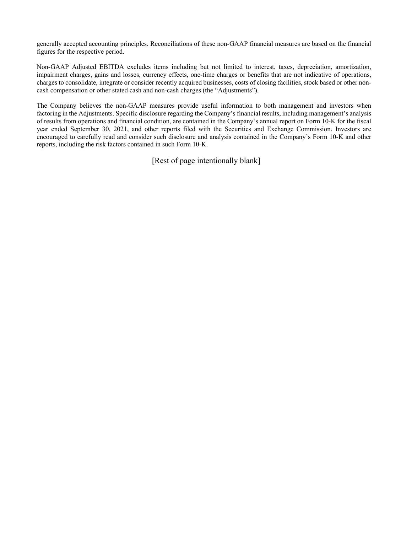generally accepted accounting principles. Reconciliations of these non-GAAP financial measures are based on the financial figures for the respective period.

Non-GAAP Adjusted EBITDA excludes items including but not limited to interest, taxes, depreciation, amortization, impairment charges, gains and losses, currency effects, one-time charges or benefits that are not indicative of operations, charges to consolidate, integrate or consider recently acquired businesses, costs of closing facilities, stock based or other noncash compensation or other stated cash and non-cash charges (the "Adjustments").

The Company believes the non-GAAP measures provide useful information to both management and investors when factoring in the Adjustments. Specific disclosure regarding the Company's financial results, including management's analysis of results from operations and financial condition, are contained in the Company's annual report on Form 10-K for the fiscal year ended September 30, 2021, and other reports filed with the Securities and Exchange Commission. Investors are encouraged to carefully read and consider such disclosure and analysis contained in the Company's Form 10-K and other reports, including the risk factors contained in such Form 10-K.

[Rest of page intentionally blank]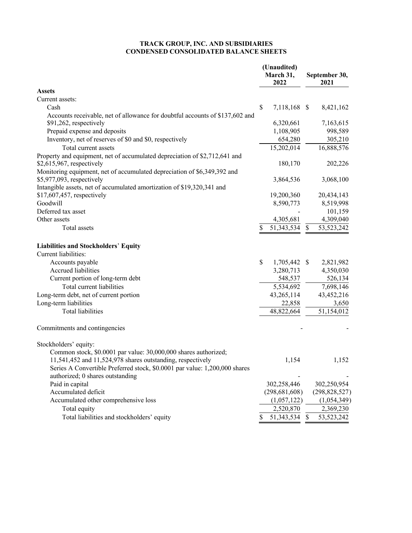# **TRACK GROUP, INC. AND SUBSIDIARIES CONDENSED CONSOLIDATED BALANCE SHEETS**

|                                                                              | (Unaudited)<br>March 31,<br>2022 |                 | September 30,<br>2021 |                 |
|------------------------------------------------------------------------------|----------------------------------|-----------------|-----------------------|-----------------|
| <b>Assets</b>                                                                |                                  |                 |                       |                 |
| Current assets:                                                              |                                  |                 |                       |                 |
| Cash                                                                         | \$                               | 7,118,168 \$    |                       | 8,421,162       |
| Accounts receivable, net of allowance for doubtful accounts of \$137,602 and |                                  |                 |                       |                 |
| \$91,262, respectively                                                       |                                  | 6,320,661       |                       | 7,163,615       |
| Prepaid expense and deposits                                                 |                                  | 1,108,905       |                       | 998,589         |
| Inventory, net of reserves of \$0 and \$0, respectively                      |                                  | 654,280         |                       | 305,210         |
| Total current assets                                                         |                                  | 15,202,014      |                       | 16,888,576      |
| Property and equipment, net of accumulated depreciation of \$2,712,641 and   |                                  |                 |                       |                 |
| $$2,615,967$ , respectively                                                  |                                  | 180,170         |                       | 202,226         |
| Monitoring equipment, net of accumulated depreciation of \$6,349,392 and     |                                  |                 |                       |                 |
| \$5,977,093, respectively                                                    |                                  | 3,864,536       |                       | 3,068,100       |
| Intangible assets, net of accumulated amortization of \$19,320,341 and       |                                  |                 |                       |                 |
| $$17,607,457$ , respectively                                                 |                                  | 19,200,360      |                       | 20,434,143      |
| Goodwill                                                                     |                                  | 8,590,773       |                       | 8,519,998       |
| Deferred tax asset                                                           |                                  |                 |                       | 101,159         |
| Other assets                                                                 |                                  | 4,305,681       |                       | 4,309,040       |
| Total assets                                                                 |                                  | 51,343,534      | $\mathbb{S}$          | 53, 523, 242    |
| <b>Liabilities and Stockholders' Equity</b>                                  |                                  |                 |                       |                 |
| Current liabilities:                                                         |                                  |                 |                       |                 |
| Accounts payable                                                             | \$                               | 1,705,442 \$    |                       | 2,821,982       |
| Accrued liabilities                                                          |                                  | 3,280,713       |                       | 4,350,030       |
| Current portion of long-term debt                                            |                                  | 548,537         |                       | 526,134         |
| Total current liabilities                                                    |                                  | 5,534,692       |                       | 7,698,146       |
| Long-term debt, net of current portion                                       |                                  | 43,265,114      |                       | 43,452,216      |
| Long-term liabilities                                                        |                                  | 22,858          |                       | 3,650           |
| <b>Total liabilities</b>                                                     |                                  | 48,822,664      |                       | 51,154,012      |
| Commitments and contingencies                                                |                                  |                 |                       |                 |
| Stockholders' equity:                                                        |                                  |                 |                       |                 |
| Common stock, \$0.0001 par value: 30,000,000 shares authorized;              |                                  |                 |                       |                 |
| 11,541,452 and 11,524,978 shares outstanding, respectively                   |                                  | 1,154           |                       | 1,152           |
| Series A Convertible Preferred stock, \$0.0001 par value: 1,200,000 shares   |                                  |                 |                       |                 |
| authorized; 0 shares outstanding                                             |                                  |                 |                       |                 |
| Paid in capital                                                              |                                  | 302,258,446     |                       | 302,250,954     |
| Accumulated deficit                                                          |                                  | (298, 681, 608) |                       | (298, 828, 527) |
| Accumulated other comprehensive loss                                         |                                  | (1,057,122)     |                       | (1,054,349)     |
| Total equity                                                                 |                                  | 2,520,870       |                       | 2,369,230       |
| Total liabilities and stockholders' equity                                   | S.                               | 51,343,534      | <sup>\$</sup>         | 53, 523, 242    |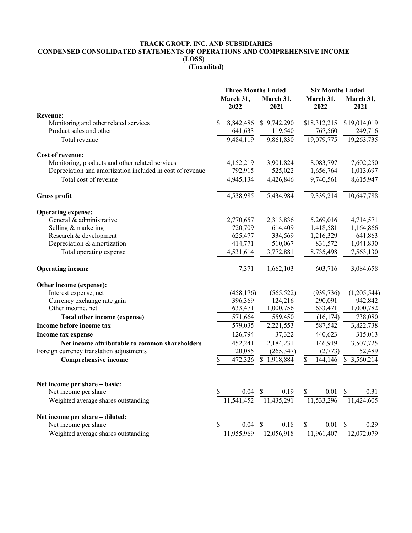# **TRACK GROUP, INC. AND SUBSIDIARIES CONDENSED CONSOLIDATED STATEMENTS OF OPERATIONS AND COMPREHENSIVE INCOME (LOSS) (Unaudited)**

|                                                           | <b>Three Months Ended</b> |                   | <b>Six Months Ended</b> |                          |                   |  |
|-----------------------------------------------------------|---------------------------|-------------------|-------------------------|--------------------------|-------------------|--|
|                                                           |                           | March 31,<br>2022 | March 31,<br>2021       | March 31,<br>2022        | March 31,<br>2021 |  |
| <b>Revenue:</b>                                           |                           |                   |                         |                          |                   |  |
| Monitoring and other related services                     | S                         | 8,842,486         | \$9,742,290             | \$18,312,215             | \$19,014,019      |  |
| Product sales and other                                   |                           | 641,633           | 119,540                 | 767,560                  | 249,716           |  |
| Total revenue                                             |                           | 9,484,119         | 9,861,830               | 19,079,775               | 19,263,735        |  |
| <b>Cost of revenue:</b>                                   |                           |                   |                         |                          |                   |  |
| Monitoring, products and other related services           |                           | 4,152,219         | 3,901,824               | 8,083,797                | 7,602,250         |  |
| Depreciation and amortization included in cost of revenue |                           | 792,915           | 525,022                 | 1,656,764                | 1,013,697         |  |
| Total cost of revenue                                     |                           | 4,945,134         | 4,426,846               | 9,740,561                | 8,615,947         |  |
| Gross profit                                              |                           | 4,538,985         | 5,434,984               | 9,339,214                | 10,647,788        |  |
| <b>Operating expense:</b>                                 |                           |                   |                         |                          |                   |  |
| General & administrative                                  |                           | 2,770,657         | 2,313,836               | 5,269,016                | 4,714,571         |  |
| Selling & marketing                                       |                           | 720,709           | 614,409                 | 1,418,581                | 1,164,866         |  |
| Research & development                                    |                           | 625,477           | 334,569                 | 1,216,329                | 641,863           |  |
| Depreciation & amortization                               |                           | 414,771           | 510,067                 | 831,572                  | 1,041,830         |  |
| Total operating expense                                   |                           | 4,531,614         | 3,772,881               | 8,735,498                | 7,563,130         |  |
| <b>Operating income</b>                                   |                           | 7,371             | 1,662,103               | 603,716                  | 3,084,658         |  |
| Other income (expense):                                   |                           |                   |                         |                          |                   |  |
| Interest expense, net                                     |                           | (458, 176)        | (565, 522)              | (939, 736)               | (1,205,544)       |  |
| Currency exchange rate gain                               |                           | 396,369           | 124,216                 | 290,091                  | 942,842           |  |
| Other income, net                                         |                           | 633,471           | 1,000,756               | 633,471                  | 1,000,782         |  |
| Total other income (expense)                              |                           | 571,664           | 559,450                 | (16, 174)                | 738,080           |  |
| Income before income tax                                  |                           | 579,035           | 2,221,553               | 587,542                  | 3,822,738         |  |
| Income tax expense                                        |                           | 126,794           | 37,322                  | 440,623                  | 315,013           |  |
| Net income attributable to common shareholders            |                           | 452,241           | 2,184,231               | 146,919                  | 3,507,725         |  |
| Foreign currency translation adjustments                  |                           | 20,085            | (265, 347)              | (2,773)                  | 52,489            |  |
| <b>Comprehensive income</b>                               | \$                        | 472,326           | \$1,918,884             | \$<br>144,146            | \$3,560,214       |  |
|                                                           |                           |                   |                         |                          |                   |  |
| Net income per share - basic:<br>Net income per share     |                           |                   | S                       |                          | S                 |  |
|                                                           | S                         | 0.04              | 0.19                    | \$<br>0.01<br>11,533,296 | 0.31              |  |
| Weighted average shares outstanding                       |                           | 11,541,452        | 11,435,291              |                          | 11,424,605        |  |
| Net income per share - diluted:                           |                           |                   |                         |                          |                   |  |
| Net income per share                                      | \$                        | 0.04              | S<br>0.18               | \$<br>0.01               | \$<br>0.29        |  |
| Weighted average shares outstanding                       |                           | 11,955,969        | 12,056,918              | 11,961,407               | 12,072,079        |  |